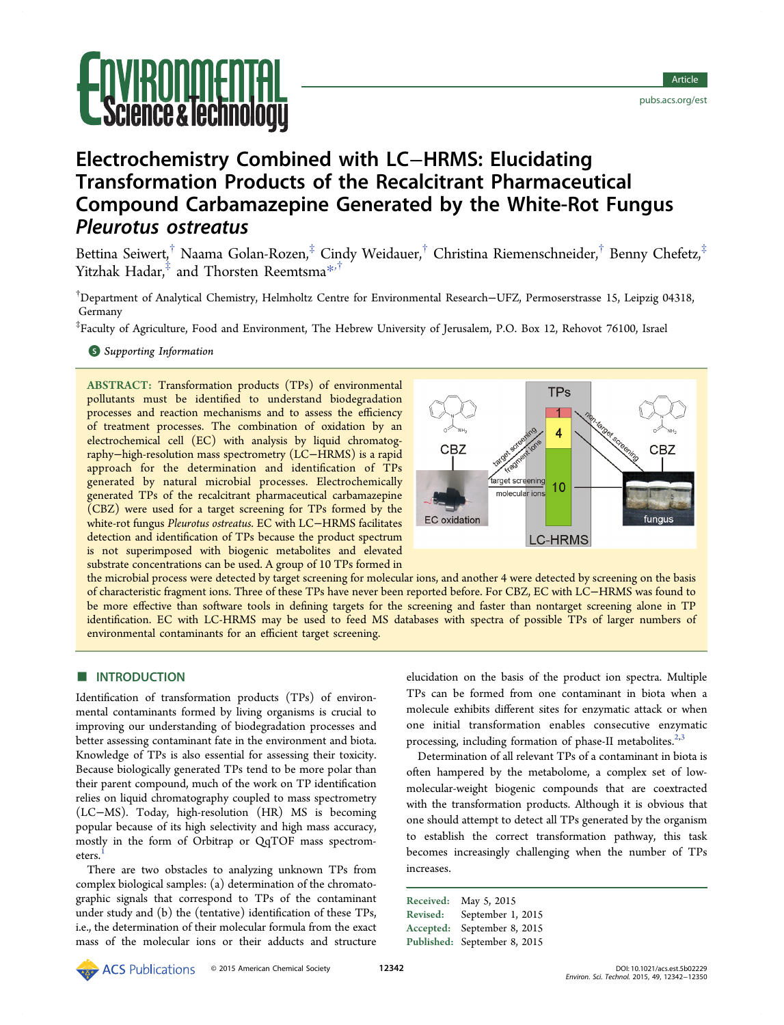

# Electrochemistry Combined with LC−HRMS: Elucidating Transformation Products of the Recalcitrant Pharmaceutical Compound Carbamazepine Generated by the White-Rot Fungus Pleurotus ostreatus

Bettina Seiwert,<sup>†</sup> Naama Golan-Rozen,<sup>‡</sup> Cindy Weidauer,<sup>†</sup> Christina Riemenschneider,<sup>†</sup> Benny Chefetz,<sup>‡</sup> Yitzhak Hadar,<sup>‡</sup> and Thorsten Reemtsma<sup>[\\*](#page-7-0),†</sup>

† Department of Analytical Chemistry, Helmholtz Centre for Environmental Research−UFZ, Permoserstrasse 15, Leipzig 04318, Germany

‡ Faculty of Agriculture, Food and Environment, The Hebrew University of Jerusalem, P.O. Box 12, Rehovot 76100, Israel

**S** [Supporting Information](#page-7-0)

ABSTRACT: Transformation products (TPs) of environmental pollutants must be identified to understand biodegradation processes and reaction mechanisms and to assess the efficiency of treatment processes. The combination of oxidation by an electrochemical cell (EC) with analysis by liquid chromatography−high-resolution mass spectrometry (LC−HRMS) is a rapid approach for the determination and identification of TPs generated by natural microbial processes. Electrochemically generated TPs of the recalcitrant pharmaceutical carbamazepine (CBZ) were used for a target screening for TPs formed by the white-rot fungus Pleurotus ostreatus. EC with LC−HRMS facilitates detection and identification of TPs because the product spectrum is not superimposed with biogenic metabolites and elevated substrate concentrations can be used. A group of 10 TPs formed in



the microbial process were detected by target screening for molecular ions, and another 4 were detected by screening on the basis of characteristic fragment ions. Three of these TPs have never been reported before. For CBZ, EC with LC−HRMS was found to be more effective than software tools in defining targets for the screening and faster than nontarget screening alone in TP identification. EC with LC-HRMS may be used to feed MS databases with spectra of possible TPs of larger numbers of environmental contaminants for an efficient target screening.

## **NO INTRODUCTION**

Identification of transformation products (TPs) of environmental contaminants formed by living organisms is crucial to improving our understanding of biodegradation processes and better assessing contaminant fate in the environment and biota. Knowledge of TPs is also essential for assessing their toxicity. Because biologically generated TPs tend to be more polar than their parent compound, much of the work on TP identification relies on liquid chromatography coupled to mass spectrometry (LC−MS). Today, high-resolution (HR) MS is becoming popular because of its high selectivity and high mass accuracy, mostly in the form of Orbitrap or QqTOF mass spectrometers.

There are two obstacles to analyzing unknown TPs from complex biological samples: (a) determination of the chromatographic signals that correspond to TPs of the contaminant under study and (b) the (tentative) identification of these TPs, i.e., the determination of their molecular formula from the exact mass of the molecular ions or their adducts and structure

elucidation on the basis of the product ion spectra. Multiple TPs can be formed from one contaminant in biota when a molecule exhibits different sites for enzymatic attack or when one initial transformation enables consecutive enzymatic processing, including formation of phase-II metabolites. $2,3$ 

Determination of all relevant TPs of a contaminant in biota is often hampered by the metabolome, a complex set of lowmolecular-weight biogenic compounds that are coextracted with the transformation products. Although it is obvious that one should attempt to detect all TPs generated by the organism to establish the correct transformation pathway, this task becomes increasingly challenging when the number of TPs increases.

Received: May 5, 2015 Revised: September 1, 2015 Accepted: September 8, 2015 Published: September 8, 2015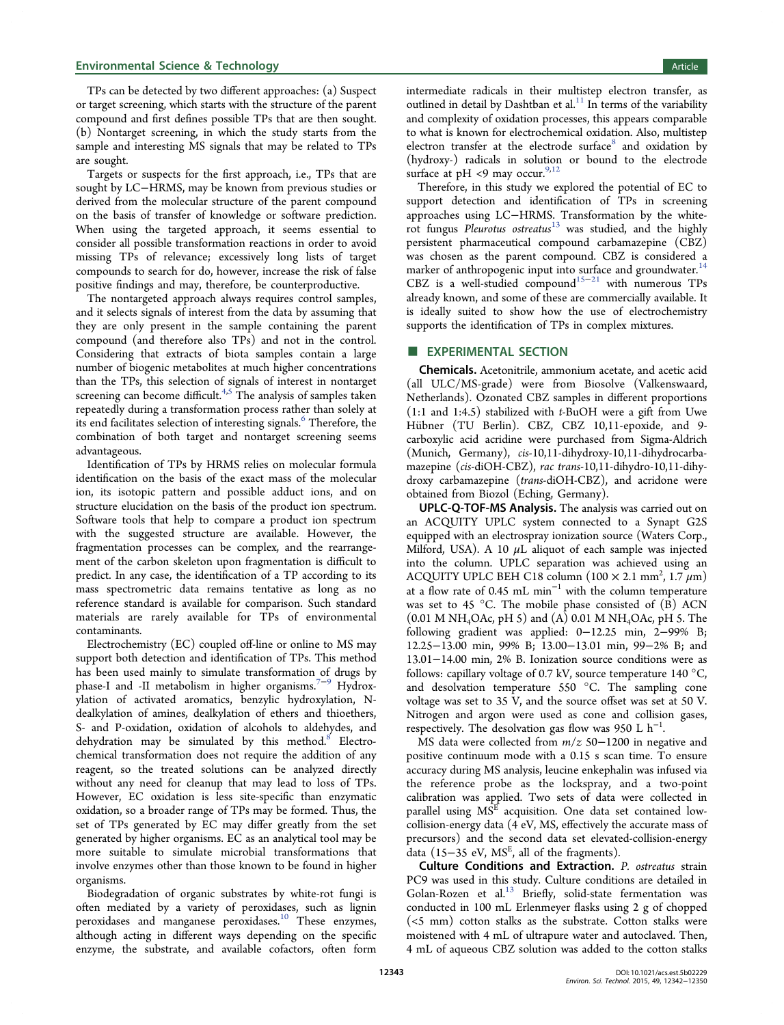TPs can be detected by two different approaches: (a) Suspect or target screening, which starts with the structure of the parent compound and first defines possible TPs that are then sought. (b) Nontarget screening, in which the study starts from the sample and interesting MS signals that may be related to TPs are sought.

Targets or suspects for the first approach, i.e., TPs that are sought by LC−HRMS, may be known from previous studies or derived from the molecular structure of the parent compound on the basis of transfer of knowledge or software prediction. When using the targeted approach, it seems essential to consider all possible transformation reactions in order to avoid missing TPs of relevance; excessively long lists of target compounds to search for do, however, increase the risk of false positive findings and may, therefore, be counterproductive.

The nontargeted approach always requires control samples, and it selects signals of interest from the data by assuming that they are only present in the sample containing the parent compound (and therefore also TPs) and not in the control. Considering that extracts of biota samples contain a large number of biogenic metabolites at much higher concentrations than the TPs, this selection of signals of interest in nontarget screening can become difficult.<sup>[4](#page-7-0),[5](#page-7-0)</sup> The analysis of samples taken repeatedly during a transformation process rather than solely at its end facilitates selection of interesting signals.<sup>[6](#page-7-0)</sup> Therefore, the combination of both target and nontarget screening seems advantageous.

Identification of TPs by HRMS relies on molecular formula identification on the basis of the exact mass of the molecular ion, its isotopic pattern and possible adduct ions, and on structure elucidation on the basis of the product ion spectrum. Software tools that help to compare a product ion spectrum with the suggested structure are available. However, the fragmentation processes can be complex, and the rearrangement of the carbon skeleton upon fragmentation is difficult to predict. In any case, the identification of a TP according to its mass spectrometric data remains tentative as long as no reference standard is available for comparison. Such standard materials are rarely available for TPs of environmental contaminants.

Electrochemistry (EC) coupled off-line or online to MS may support both detection and identification of TPs. This method has been used mainly to simulate transformation of drugs by phase-I and -II metabolism in higher organisms.<sup>[7](#page-7-0)−[9](#page-7-0)</sup> Hydroxylation of activated aromatics, benzylic hydroxylation, Ndealkylation of amines, dealkylation of ethers and thioethers, S- and P-oxidation, oxidation of alcohols to aldehydes, and dehydration may be simulated by this method. $8$  Electrochemical transformation does not require the addition of any reagent, so the treated solutions can be analyzed directly without any need for cleanup that may lead to loss of TPs. However, EC oxidation is less site-specific than enzymatic oxidation, so a broader range of TPs may be formed. Thus, the set of TPs generated by EC may differ greatly from the set generated by higher organisms. EC as an analytical tool may be more suitable to simulate microbial transformations that involve enzymes other than those known to be found in higher organisms.

Biodegradation of organic substrates by white-rot fungi is often mediated by a variety of peroxidases, such as lignin peroxidases and manganese peroxidases.[10](#page-7-0) These enzymes, although acting in different ways depending on the specific enzyme, the substrate, and available cofactors, often form

intermediate radicals in their multistep electron transfer, as outlined in detail by Dashtban et al. $11$  In terms of the variability and complexity of oxidation processes, this appears comparable to what is known for electrochemical oxidation. Also, multistep electron transfer at the electrode surface<sup>[8](#page-7-0)</sup> and oxidation by (hydroxy-) radicals in solution or bound to the electrode surface at pH <9 may occur.  $9,12$ 

Therefore, in this study we explored the potential of EC to support detection and identification of TPs in screening approaches using LC−HRMS. Transformation by the whiterot fungus *Pleurotus ostreatus*<sup>[13](#page-7-0)</sup> was studied, and the highly persistent pharmaceutical compound carbamazepine (CBZ) was chosen as the parent compound. CBZ is considered a marker of anthropogenic input into surface and groundwater.<sup>[14](#page-7-0)</sup> CBZ is a well-studied compound<sup>[15](#page-7-0)−[21](#page-8-0)</sup> with numerous TPs already known, and some of these are commercially available. It is ideally suited to show how the use of electrochemistry supports the identification of TPs in complex mixtures.

## **EXPERIMENTAL SECTION**

Chemicals. Acetonitrile, ammonium acetate, and acetic acid (all ULC/MS-grade) were from Biosolve (Valkenswaard, Netherlands). Ozonated CBZ samples in different proportions  $(1:1$  and  $1:4.5)$  stabilized with t-BuOH were a gift from Uwe Hü bner (TU Berlin). CBZ, CBZ 10,11-epoxide, and 9 carboxylic acid acridine were purchased from Sigma-Aldrich (Munich, Germany), cis-10,11-dihydroxy-10,11-dihydrocarbamazepine (cis-diOH-CBZ), rac trans-10,11-dihydro-10,11-dihydroxy carbamazepine (trans-diOH-CBZ), and acridone were obtained from Biozol (Eching, Germany).

UPLC-Q-TOF-MS Analysis. The analysis was carried out on an ACQUITY UPLC system connected to a Synapt G2S equipped with an electrospray ionization source (Waters Corp., Milford, USA). A 10  $\mu$ L aliquot of each sample was injected into the column. UPLC separation was achieved using an ACQUITY UPLC BEH C18 column  $(100 \times 2.1 \text{ mm}^2, 1.7 \mu \text{m})$ at a flow rate of 0.45 mL min<sup>-1</sup> with the column temperature was set to 45  $^{\circ}$ C. The mobile phase consisted of (B) ACN (0.01 M NH4OAc, pH 5) and (A) 0.01 M NH4OAc, pH 5. The following gradient was applied: 0−12.25 min, 2−99% B; 12.25−13.00 min, 99% B; 13.00−13.01 min, 99−2% B; and 13.01−14.00 min, 2% B. Ionization source conditions were as follows: capillary voltage of 0.7 kV, source temperature 140 °C, and desolvation temperature 550 °C. The sampling cone voltage was set to 35 V, and the source offset was set at 50 V. Nitrogen and argon were used as cone and collision gases, respectively. The desolvation gas flow was 950 L  $h^{-1}$ . .

MS data were collected from m/z 50−1200 in negative and positive continuum mode with a 0.15 s scan time. To ensure accuracy during MS analysis, leucine enkephalin was infused via the reference probe as the lockspray, and a two-point calibration was applied. Two sets of data were collected in parallel using  $MS<sup>E</sup>$  acquisition. One data set contained lowcollision-energy data (4 eV, MS, effectively the accurate mass of precursors) and the second data set elevated-collision-energy data (15–35 eV,  $MS<sup>E</sup>$ , all of the fragments).

Culture Conditions and Extraction. P. ostreatus strain PC9 was used in this study. Culture conditions are detailed in Golan-Rozen et al.<sup>[13](#page-7-0)</sup> Briefly, solid-state fermentation was conducted in 100 mL Erlenmeyer flasks using 2 g of chopped (<5 mm) cotton stalks as the substrate. Cotton stalks were moistened with 4 mL of ultrapure water and autoclaved. Then, 4 mL of aqueous CBZ solution was added to the cotton stalks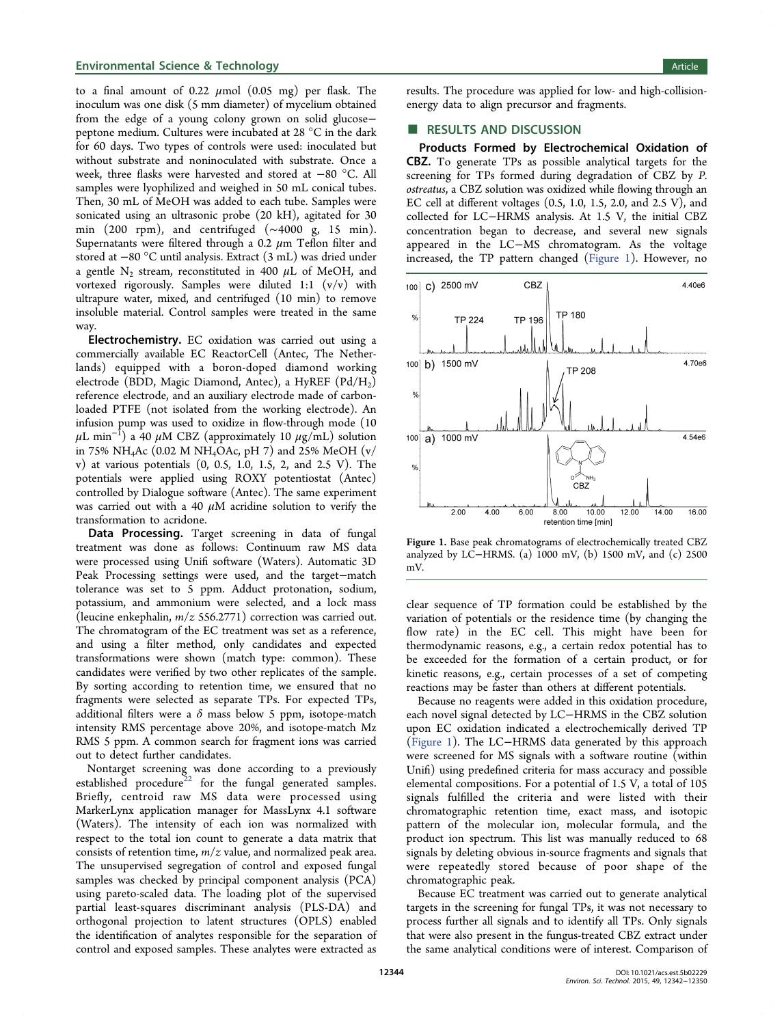## <span id="page-2-0"></span>Environmental Science & Technology **Article** 2012 12:38 Article 2013 12:38 Article 2013

to a final amount of  $0.22 \mu$ mol  $(0.05 \text{ mg})$  per flask. The inoculum was one disk (5 mm diameter) of mycelium obtained from the edge of a young colony grown on solid glucose− peptone medium. Cultures were incubated at 28 °C in the dark for 60 days. Two types of controls were used: inoculated but without substrate and noninoculated with substrate. Once a week, three flasks were harvested and stored at −80 °C. All samples were lyophilized and weighed in 50 mL conical tubes. Then, 30 mL of MeOH was added to each tube. Samples were sonicated using an ultrasonic probe (20 kH), agitated for 30 min (200 rpm), and centrifuged (∼4000 g, 15 min). Supernatants were filtered through a 0.2  $\mu$ m Teflon filter and stored at −80 °C until analysis. Extract (3 mL) was dried under a gentle  $N_2$  stream, reconstituted in 400  $\mu$ L of MeOH, and vortexed rigorously. Samples were diluted 1:1 (v/v) with ultrapure water, mixed, and centrifuged (10 min) to remove insoluble material. Control samples were treated in the same way.

Electrochemistry. EC oxidation was carried out using a commercially available EC ReactorCell (Antec, The Netherlands) equipped with a boron-doped diamond working electrode (BDD, Magic Diamond, Antec), a HyREF  $(Pd/H_2)$ reference electrode, and an auxiliary electrode made of carbonloaded PTFE (not isolated from the working electrode). An infusion pump was used to oxidize in flow-through mode (10  $\mu\hbox{L min}^{-1})$  a 40  $\mu\hbox{M CBZ}$  (approximately 10  $\mu\hbox{g/mL})$  solution in 75% NH<sub>4</sub>Ac (0.02 M NH<sub>4</sub>OAc, pH 7) and 25% MeOH (v/ v) at various potentials (0, 0.5, 1.0, 1.5, 2, and 2.5 V). The potentials were applied using ROXY potentiostat (Antec) controlled by Dialogue software (Antec). The same experiment was carried out with a 40  $\mu$ M acridine solution to verify the transformation to acridone.

Data Processing. Target screening in data of fungal treatment was done as follows: Continuum raw MS data were processed using Unifi software (Waters). Automatic 3D Peak Processing settings were used, and the target−match tolerance was set to 5 ppm. Adduct protonation, sodium, potassium, and ammonium were selected, and a lock mass (leucine enkephalin,  $m/z$  556.2771) correction was carried out. The chromatogram of the EC treatment was set as a reference, and using a filter method, only candidates and expected transformations were shown (match type: common). These candidates were verified by two other replicates of the sample. By sorting according to retention time, we ensured that no fragments were selected as separate TPs. For expected TPs, additional filters were a  $\delta$  mass below 5 ppm, isotope-match intensity RMS percentage above 20%, and isotope-match Mz RMS 5 ppm. A common search for fragment ions was carried out to detect further candidates.

Nontarget screening was done according to a previously established procedure<sup>[22](#page-8-0)</sup> for the fungal generated samples. Briefly, centroid raw MS data were processed using MarkerLynx application manager for MassLynx 4.1 software (Waters). The intensity of each ion was normalized with respect to the total ion count to generate a data matrix that consists of retention time,  $m/z$  value, and normalized peak area. The unsupervised segregation of control and exposed fungal samples was checked by principal component analysis (PCA) using pareto-scaled data. The loading plot of the supervised partial least-squares discriminant analysis (PLS-DA) and orthogonal projection to latent structures (OPLS) enabled the identification of analytes responsible for the separation of control and exposed samples. These analytes were extracted as

results. The procedure was applied for low- and high-collisionenergy data to align precursor and fragments.

## ■ RESULTS AND DISCUSSION

Products Formed by Electrochemical Oxidation of CBZ. To generate TPs as possible analytical targets for the screening for TPs formed during degradation of CBZ by P. ostreatus, a CBZ solution was oxidized while flowing through an EC cell at different voltages (0.5, 1.0, 1.5, 2.0, and 2.5 V), and collected for LC−HRMS analysis. At 1.5 V, the initial CBZ concentration began to decrease, and several new signals appeared in the LC−MS chromatogram. As the voltage increased, the TP pattern changed (Figure 1). However, no



Figure 1. Base peak chromatograms of electrochemically treated CBZ analyzed by LC−HRMS. (a) 1000 mV, (b) 1500 mV, and (c) 2500 mV.

clear sequence of TP formation could be established by the variation of potentials or the residence time (by changing the flow rate) in the EC cell. This might have been for thermodynamic reasons, e.g., a certain redox potential has to be exceeded for the formation of a certain product, or for kinetic reasons, e.g., certain processes of a set of competing reactions may be faster than others at different potentials.

Because no reagents were added in this oxidation procedure, each novel signal detected by LC−HRMS in the CBZ solution upon EC oxidation indicated a electrochemically derived TP (Figure 1). The LC−HRMS data generated by this approach were screened for MS signals with a software routine (within Unifi) using predefined criteria for mass accuracy and possible elemental compositions. For a potential of 1.5 V, a total of 105 signals fulfilled the criteria and were listed with their chromatographic retention time, exact mass, and isotopic pattern of the molecular ion, molecular formula, and the product ion spectrum. This list was manually reduced to 68 signals by deleting obvious in-source fragments and signals that were repeatedly stored because of poor shape of the chromatographic peak.

Because EC treatment was carried out to generate analytical targets in the screening for fungal TPs, it was not necessary to process further all signals and to identify all TPs. Only signals that were also present in the fungus-treated CBZ extract under the same analytical conditions were of interest. Comparison of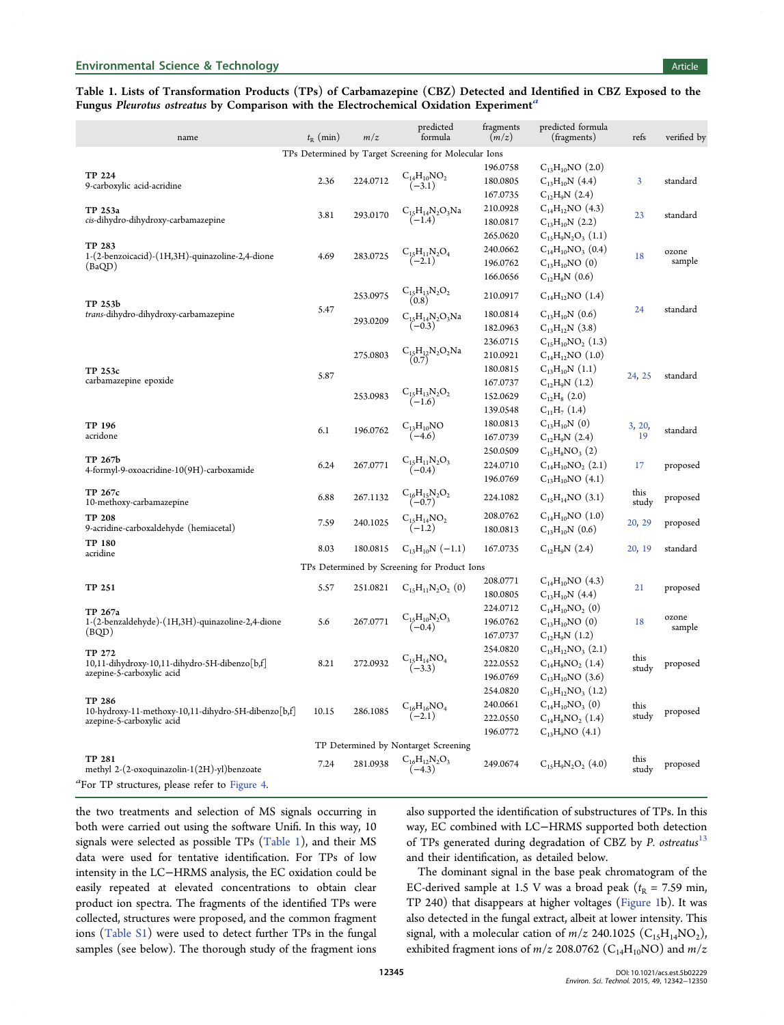## <span id="page-3-0"></span>Table 1. Lists of Transformation Products (TPs) of Carbamazepine (CBZ) Detected and Identified in CBZ Exposed to the Fungus Pleurotus ostreatus by Comparison with the Electrochemical Oxidation Experiment<sup>a</sup>

| name                                                                                       | $t_{\rm R}$ (min) | m/z      | predicted<br>formula                                  | fragments<br>(m/z) | predicted formula<br>(fragments) | refs          | verified by     |
|--------------------------------------------------------------------------------------------|-------------------|----------|-------------------------------------------------------|--------------------|----------------------------------|---------------|-----------------|
|                                                                                            |                   |          | TPs Determined by Target Screening for Molecular Ions |                    |                                  |               |                 |
|                                                                                            |                   |          |                                                       | 196.0758           | $C_{13}H_{10}NO(2.0)$            |               |                 |
| TP 224<br>9-carboxylic acid-acridine                                                       | 2.36              | 224.0712 | $C_{14}H_{10}NO_2$<br>$(-3.1)$                        | 180.0805           | $C_{13}H_{10}N(4.4)$             | 3             | standard        |
|                                                                                            |                   |          |                                                       | 167.0735           | $C_{12}H_9N(2.4)$                |               |                 |
| TP 253a<br>cis-dihydro-dihydroxy-carbamazepine                                             | 3.81              | 293.0170 | $C_{15}H_{14}N_2O_3Na$<br>$(-1.4)$                    | 210.0928           | $C_{14}H_{12}NO(4.3)$            | 23            | standard        |
|                                                                                            |                   |          |                                                       | 180.0817           | $C_{13}H_{10}N(2.2)$             |               |                 |
| <b>TP 283</b><br>1-(2-benzoicacid)-(1H,3H)-quinazoline-2,4-dione<br>(BaQD)                 |                   |          |                                                       | 265.0620           | $C_{15}H_9N_2O_3(1.1)$           | 18            |                 |
|                                                                                            | 4.69              | 283.0725 | $C_{15}H_{11}N_2O_4$                                  | 240.0662           | $C_{14}H_{10}NO_3$ (0.4)         |               | ozone<br>sample |
|                                                                                            |                   |          | $(-2.1)$                                              | 196.0762           | $C_{13}H_{10}NO(0)$              |               |                 |
|                                                                                            |                   |          |                                                       | 166.0656           | $C_{12}H_8N(0.6)$                |               |                 |
| TP 253b<br><i>trans</i> -dihydro-dihydroxy-carbamazepine                                   | 5.47              | 253.0975 | $C_{15}H_{13}N_2O_2$<br>(0.8)                         | 210.0917           | $C_{14}H_{12}NO(1.4)$            | 24            | standard        |
|                                                                                            |                   | 293.0209 | $C_{15}H_{14}N_2O_3Na$<br>$(-0.3)$                    | 180.0814           | $C_{13}H_{10}N(0.6)$             |               |                 |
|                                                                                            |                   |          |                                                       | 182.0963           | $C_{13}H_{12}N(3.8)$             |               |                 |
|                                                                                            |                   |          |                                                       | 236.0715           | $C_{15}H_{10}NO_2(1.3)$          |               |                 |
| TP 253c<br>carbamazepine epoxide                                                           | 5.87              | 275.0803 | $C_{15}H_{12}N_2O_2Na$<br>(0.7)                       | 210.0921           | $C_{14}H_{12}NO(1.0)$            | 24, 25        | standard        |
|                                                                                            |                   |          |                                                       | 180.0815           | $C_{13}H_{10}N(1.1)$             |               |                 |
|                                                                                            |                   | 253.0983 | $C_{15}H_{13}N_2O_2$<br>$(-1.6)$                      | 167.0737           | $C_{12}H_9N(1.2)$                |               |                 |
|                                                                                            |                   |          |                                                       | 152.0629           | $C_{12}H_8(2.0)$                 |               |                 |
|                                                                                            |                   |          |                                                       | 139.0548           | $C_{11}H_7(1.4)$                 |               |                 |
| TP 196                                                                                     | 6.1               | 196.0762 | $C_{13}H_{10}NO$                                      | 180.0813           | $C_{13}H_{10}N(0)$               | 3, 20,        | standard        |
| acridone                                                                                   |                   |          | $(-4.6)$                                              | 167.0739           | $C_{12}H_9N(2.4)$                | 19            |                 |
| TP 267b<br>4-formyl-9-oxoacridine-10(9H)-carboxamide                                       | 6.24              | 267.0771 | $C_{15}H_{11}N_2O_3$<br>$(-0.4)$                      | 250.0509           | $C_{15}H_8NO_3(2)$               | 17            | proposed        |
|                                                                                            |                   |          |                                                       | 224.0710           | $C_{14}H_{10}NO_2(2.1)$          |               |                 |
|                                                                                            |                   |          |                                                       | 196.0769           | $C_{13}H_{10}NO(4.1)$            |               |                 |
| TP 267c<br>10-methoxy-carbamazepine                                                        | 6.88              | 267.1132 | $C_{16}H_{15}N_2O_2$<br>$(-0.7)$                      | 224.1082           | $C_{15}H_{14}NO$ (3.1)           | this<br>study | proposed        |
| <b>TP 208</b>                                                                              | 7.59              | 240.1025 | $C_{15}H_{14}NO_2$                                    | 208.0762           | $C_{14}H_{10}NO(1.0)$            |               |                 |
| 9-acridine-carboxaldehyde (hemiacetal)                                                     |                   |          | $(-1.2)$                                              | 180.0813           | $C_{13}H_{10}N(0.6)$             | 20, 29        | proposed        |
| <b>TP 180</b><br>acridine                                                                  | 8.03              | 180.0815 | $C_{13}H_{10}N(-1.1)$                                 | 167.0735           | $C_{12}H_9N(2.4)$                | 20, 19        | standard        |
| TPs Determined by Screening for Product Ions                                               |                   |          |                                                       |                    |                                  |               |                 |
|                                                                                            |                   |          |                                                       | 208.0771           | $C_{14}H_{10}NO(4.3)$            |               |                 |
| TP 251                                                                                     | 5.57              | 251.0821 | $C_{15}H_{11}N_2O_2(0)$                               | 180.0805           | $C_{13}H_{10}N(4.4)$             | 21            | proposed        |
| TP 267a<br>1-(2-benzaldehyde)-(1H,3H)-quinazoline-2,4-dione<br>(BQD)                       | 5.6               | 267.0771 | $C_{15}H_{10}N_2O_3$<br>$(-0.4)$                      | 224.0712           | $C_{14}H_{10}NO_2(0)$            | 18            | ozone<br>sample |
|                                                                                            |                   |          |                                                       | 196.0762           | $C_{13}H_{10}NO(0)$              |               |                 |
|                                                                                            |                   |          |                                                       | 167.0737           | $C_{12}H_9N(1.2)$                |               |                 |
| TP 272<br>10,11-dihydroxy-10,11-dihydro-5H-dibenzo[b,f]<br>azepine-5-carboxylic acid       | 8.21              | 272.0932 | $C_{15}H_{14}NO_4$<br>$(-3.3)$                        | 254.0820           | $C_{15}H_{12}NO_3$ (2.1)         | this<br>study | proposed        |
|                                                                                            |                   |          |                                                       | 222.0552           | $C_{14}H_8NO_2(1.4)$             |               |                 |
|                                                                                            |                   |          |                                                       | 196.0769           | $C_{13}H_{10}NO(3.6)$            |               |                 |
| TP 286<br>10-hydroxy-11-methoxy-10,11-dihydro-5H-dibenzo[b,f]<br>azepine-5-carboxylic acid | 10.15             | 286.1085 | $C_{16}H_{16}NO_4$<br>(-2.1)                          | 254.0820           | $C_{15}H_{12}NO_3$ (1.2)         | this<br>study |                 |
|                                                                                            |                   |          |                                                       | 240.0661           | $C_{14}H_{10}NO_3(0)$            |               | proposed        |
|                                                                                            |                   |          |                                                       | 222.0550           | $C_{14}H_8NO_2(1.4)$             |               |                 |
|                                                                                            |                   |          |                                                       | 196.0772           | $C_{13}H_9NO$ (4.1)              |               |                 |
| TP Determined by Nontarget Screening                                                       |                   |          |                                                       |                    |                                  |               |                 |
| TP 281<br>methyl 2-(2-oxoquinazolin-1(2H)-yl)benzoate                                      | 7.24              | 281.0938 | $C_{16}H_{12}N_2O_3$<br>$(-4.3)$                      | 249.0674           | $C_{15}H_9N_2O_2$ (4.0)          | this<br>study | proposed        |
| <sup>2</sup> For TP structures, please refer to Figure 4.                                  |                   |          |                                                       |                    |                                  |               |                 |

the two treatments and selection of MS signals occurring in both were carried out using the software Unifi. In this way, 10 signals were selected as possible TPs (Table 1), and their MS data were used for tentative identification. For TPs of low intensity in the LC−HRMS analysis, the EC oxidation could be easily repeated at elevated concentrations to obtain clear product ion spectra. The fragments of the identified TPs were collected, structures were proposed, and the common fragment ions [\(Table S1\)](http://pubs.acs.org/doi/suppl/10.1021/acs.est.5b02229/suppl_file/es5b02229_si_001.pdf) were used to detect further TPs in the fungal samples (see below). The thorough study of the fragment ions also supported the identification of substructures of TPs. In this way, EC combined with LC−HRMS supported both detection of TPs generated during degradation of CBZ by P. ostreatus<sup>[13](#page-7-0)</sup> and their identification, as detailed below.

The dominant signal in the base peak chromatogram of the EC-derived sample at 1.5 V was a broad peak ( $t<sub>R</sub>$  = 7.59 min, TP 240) that disappears at higher voltages [\(Figure 1b](#page-2-0)). It was also detected in the fungal extract, albeit at lower intensity. This signal, with a molecular cation of  $m/z$  240.1025 (C<sub>15</sub>H<sub>14</sub>NO<sub>2</sub>), exhibited fragment ions of  $m/z$  208.0762 (C<sub>14</sub>H<sub>10</sub>NO) and  $m/z$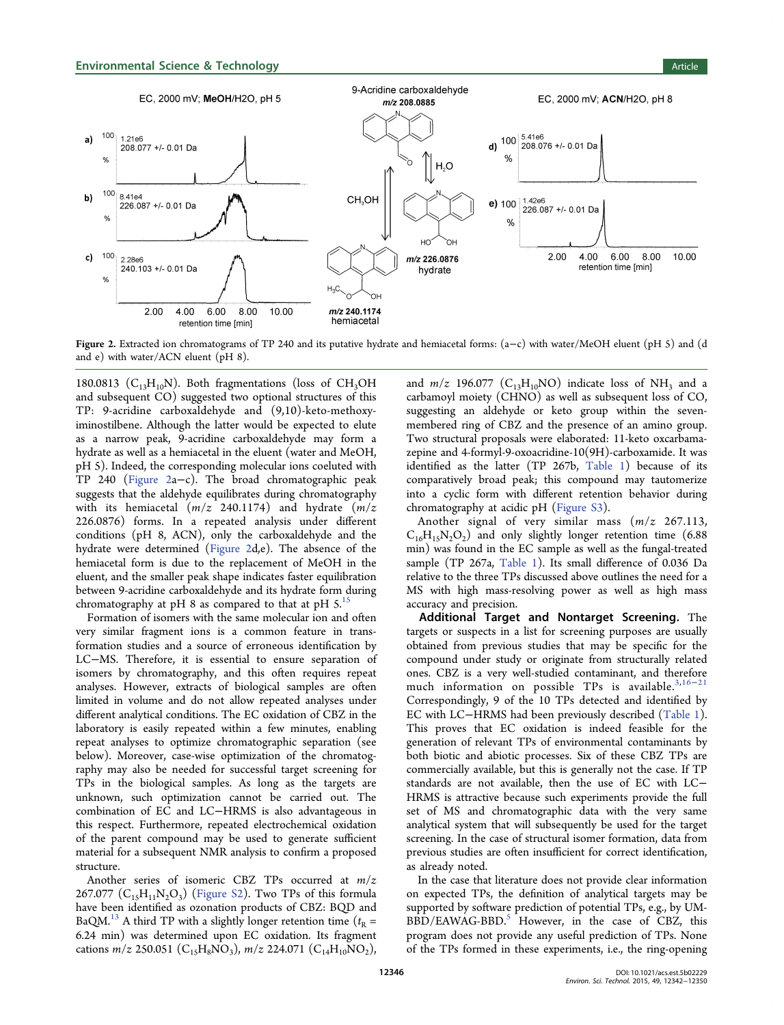

Figure 2. Extracted ion chromatograms of TP 240 and its putative hydrate and hemiacetal forms: (a−c) with water/MeOH eluent (pH 5) and (d and e) with water/ACN eluent (pH 8).

180.0813 ( $C_{13}H_{10}N$ ). Both fragmentations (loss of CH<sub>3</sub>OH and subsequent CO) suggested two optional structures of this TP: 9-acridine carboxaldehyde and (9,10)-keto-methoxyiminostilbene. Although the latter would be expected to elute as a narrow peak, 9-acridine carboxaldehyde may form a hydrate as well as a hemiacetal in the eluent (water and MeOH, pH 5). Indeed, the corresponding molecular ions coeluted with TP 240 (Figure 2a−c). The broad chromatographic peak suggests that the aldehyde equilibrates during chromatography with its hemiacetal  $(m/z)$  240.1174) and hydrate  $(m/z)$ 226.0876) forms. In a repeated analysis under different conditions (pH 8, ACN), only the carboxaldehyde and the hydrate were determined (Figure 2d,e). The absence of the hemiacetal form is due to the replacement of MeOH in the eluent, and the smaller peak shape indicates faster equilibration between 9-acridine carboxaldehyde and its hydrate form during chromatography at pH 8 as compared to that at pH  $5$ .<sup>[15](#page-7-0)</sup>

Formation of isomers with the same molecular ion and often very similar fragment ions is a common feature in transformation studies and a source of erroneous identification by LC−MS. Therefore, it is essential to ensure separation of isomers by chromatography, and this often requires repeat analyses. However, extracts of biological samples are often limited in volume and do not allow repeated analyses under different analytical conditions. The EC oxidation of CBZ in the laboratory is easily repeated within a few minutes, enabling repeat analyses to optimize chromatographic separation (see below). Moreover, case-wise optimization of the chromatography may also be needed for successful target screening for TPs in the biological samples. As long as the targets are unknown, such optimization cannot be carried out. The combination of EC and LC−HRMS is also advantageous in this respect. Furthermore, repeated electrochemical oxidation of the parent compound may be used to generate sufficient material for a subsequent NMR analysis to confirm a proposed structure.

Another series of isomeric CBZ TPs occurred at m/z 267.077  $(C_{15}H_{11}N_2O_3)$  ([Figure S2](http://pubs.acs.org/doi/suppl/10.1021/acs.est.5b02229/suppl_file/es5b02229_si_001.pdf)). Two TPs of this formula have been identified as ozonation products of CBZ: BQD and BaQM.<sup>[13](#page-7-0)</sup> A third TP with a slightly longer retention time ( $t<sub>R</sub>$  = 6.24 min) was determined upon EC oxidation. Its fragment cations  $m/z$  250.051 (C<sub>15</sub>H<sub>8</sub>NO<sub>3</sub>),  $m/z$  224.071 (C<sub>14</sub>H<sub>10</sub>NO<sub>2</sub>),

and  $m/z$  196.077 (C<sub>13</sub>H<sub>10</sub>NO) indicate loss of NH<sub>3</sub> and a carbamoyl moiety (CHNO) as well as subsequent loss of CO, suggesting an aldehyde or keto group within the sevenmembered ring of CBZ and the presence of an amino group. Two structural proposals were elaborated: 11-keto oxcarbamazepine and 4-formyl-9-oxoacridine-10(9H)-carboxamide. It was identified as the latter (TP 267b, [Table 1](#page-3-0)) because of its comparatively broad peak; this compound may tautomerize into a cyclic form with different retention behavior during chromatography at acidic pH [\(Figure S3](http://pubs.acs.org/doi/suppl/10.1021/acs.est.5b02229/suppl_file/es5b02229_si_001.pdf)).

Another signal of very similar mass  $(m/z)$  267.113,  $C_{16}H_{15}N_2O_2$ ) and only slightly longer retention time (6.88) min) was found in the EC sample as well as the fungal-treated sample (TP 267a, [Table 1\)](#page-3-0). Its small difference of 0.036 Da relative to the three TPs discussed above outlines the need for a MS with high mass-resolving power as well as high mass accuracy and precision.

Additional Target and Nontarget Screening. The targets or suspects in a list for screening purposes are usually obtained from previous studies that may be specific for the compound under study or originate from structurally related ones. CBZ is a very well-studied contaminant, and therefore much information on possible TPs is available. $3,16-21$  $3,16-21$  $3,16-21$  $3,16-21$  $3,16-21$ Correspondingly, 9 of the 10 TPs detected and identified by EC with LC−HRMS had been previously described [\(Table 1\)](#page-3-0). This proves that EC oxidation is indeed feasible for the generation of relevant TPs of environmental contaminants by both biotic and abiotic processes. Six of these CBZ TPs are commercially available, but this is generally not the case. If TP standards are not available, then the use of EC with LC− HRMS is attractive because such experiments provide the full set of MS and chromatographic data with the very same analytical system that will subsequently be used for the target screening. In the case of structural isomer formation, data from previous studies are often insufficient for correct identification, as already noted.

In the case that literature does not provide clear information on expected TPs, the definition of analytical targets may be supported by software prediction of potential TPs, e.g., by UM-BBD/EAWAG-BBD.<sup>[5](#page-7-0)</sup> However, in the case of CBZ, this program does not provide any useful prediction of TPs. None of the TPs formed in these experiments, i.e., the ring-opening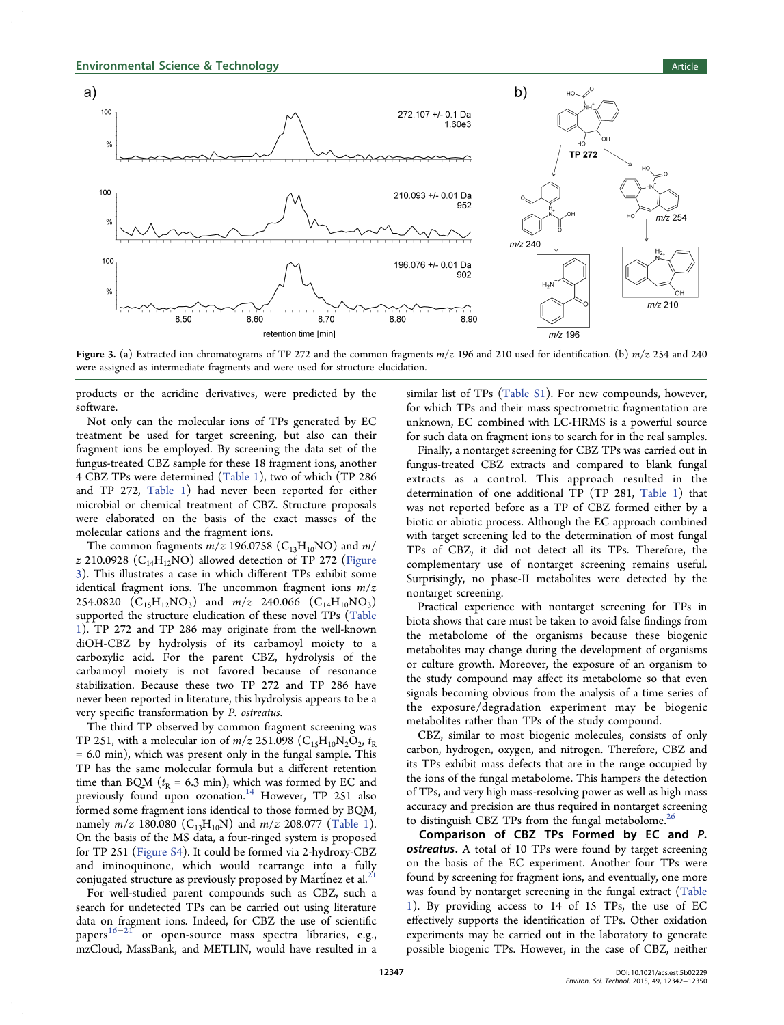

Figure 3. (a) Extracted ion chromatograms of TP 272 and the common fragments  $m/z$  196 and 210 used for identification. (b)  $m/z$  254 and 240 were assigned as intermediate fragments and were used for structure elucidation.

products or the acridine derivatives, were predicted by the software.

Not only can the molecular ions of TPs generated by EC treatment be used for target screening, but also can their fragment ions be employed. By screening the data set of the fungus-treated CBZ sample for these 18 fragment ions, another 4 CBZ TPs were determined ([Table 1\)](#page-3-0), two of which (TP 286 and TP 272, [Table 1\)](#page-3-0) had never been reported for either microbial or chemical treatment of CBZ. Structure proposals were elaborated on the basis of the exact masses of the molecular cations and the fragment ions.

The common fragments  $m/z$  196.0758 (C<sub>13</sub>H<sub>10</sub>NO) and  $m/$ z 210.0928 ( $C_{14}H_{12}NO$ ) allowed detection of TP 272 (Figure 3). This illustrates a case in which different TPs exhibit some identical fragment ions. The uncommon fragment ions  $m/z$ 254.0820  $(C_{15}H_{12}NO_3)$  and  $m/z$  240.066  $(C_{14}H_{10}NO_3)$ supported the structure eludication of these novel TPs ([Table](#page-3-0) [1](#page-3-0)). TP 272 and TP 286 may originate from the well-known diOH-CBZ by hydrolysis of its carbamoyl moiety to a carboxylic acid. For the parent CBZ, hydrolysis of the carbamoyl moiety is not favored because of resonance stabilization. Because these two TP 272 and TP 286 have never been reported in literature, this hydrolysis appears to be a very specific transformation by P. ostreatus.

The third TP observed by common fragment screening was TP 251, with a molecular ion of  $m/z$  251.098 (C<sub>15</sub>H<sub>10</sub>N<sub>2</sub>O<sub>2</sub>, t<sub>R</sub>  $= 6.0$  min), which was present only in the fungal sample. This TP has the same molecular formula but a different retention time than BQM ( $t<sub>R</sub> = 6.3$  min), which was formed by EC and previously found upon ozonation.<sup>[14](#page-7-0)</sup> However, TP 251 also formed some fragment ions identical to those formed by BQM, namely  $m/z$  180.080 ( $C_{13}H_{10}N$ ) and  $m/z$  208.077 ([Table 1\)](#page-3-0). On the basis of the MS data, a four-ringed system is proposed for TP 251 [\(Figure S4\)](http://pubs.acs.org/doi/suppl/10.1021/acs.est.5b02229/suppl_file/es5b02229_si_001.pdf). It could be formed via 2-hydroxy-CBZ and iminoquinone, which would rearrange into a fully conjugated structure as previously proposed by Martinez et al. $^{21}$  $^{21}$  $^{21}$ 

For well-studied parent compounds such as CBZ, such a search for undetected TPs can be carried out using literature data on fragment ions. Indeed, for CBZ the use of scientific  $p_{\text{apers}}^{16-21}$  $p_{\text{apers}}^{16-21}$  $p_{\text{apers}}^{16-21}$  $p_{\text{apers}}^{16-21}$  $p_{\text{apers}}^{16-21}$  or open-source mass spectra libraries, e.g., mzCloud, MassBank, and METLIN, would have resulted in a

similar list of TPs [\(Table S1\)](http://pubs.acs.org/doi/suppl/10.1021/acs.est.5b02229/suppl_file/es5b02229_si_001.pdf). For new compounds, however, for which TPs and their mass spectrometric fragmentation are unknown, EC combined with LC-HRMS is a powerful source for such data on fragment ions to search for in the real samples.

Finally, a nontarget screening for CBZ TPs was carried out in fungus-treated CBZ extracts and compared to blank fungal extracts as a control. This approach resulted in the determination of one additional TP (TP 281, [Table 1](#page-3-0)) that was not reported before as a TP of CBZ formed either by a biotic or abiotic process. Although the EC approach combined with target screening led to the determination of most fungal TPs of CBZ, it did not detect all its TPs. Therefore, the complementary use of nontarget screening remains useful. Surprisingly, no phase-II metabolites were detected by the nontarget screening.

Practical experience with nontarget screening for TPs in biota shows that care must be taken to avoid false findings from the metabolome of the organisms because these biogenic metabolites may change during the development of organisms or culture growth. Moreover, the exposure of an organism to the study compound may affect its metabolome so that even signals becoming obvious from the analysis of a time series of the exposure/degradation experiment may be biogenic metabolites rather than TPs of the study compound.

CBZ, similar to most biogenic molecules, consists of only carbon, hydrogen, oxygen, and nitrogen. Therefore, CBZ and its TPs exhibit mass defects that are in the range occupied by the ions of the fungal metabolome. This hampers the detection of TPs, and very high mass-resolving power as well as high mass accuracy and precision are thus required in nontarget screening to distinguish CBZ TPs from the fungal metabolome.<sup>[26](#page-8-0)</sup>

Comparison of CBZ TPs Formed by EC and P. **ostreatus.** A total of 10 TPs were found by target screening on the basis of the EC experiment. Another four TPs were found by screening for fragment ions, and eventually, one more was found by nontarget screening in the fungal extract ([Table](#page-3-0) [1](#page-3-0)). By providing access to 14 of 15 TPs, the use of EC effectively supports the identification of TPs. Other oxidation experiments may be carried out in the laboratory to generate possible biogenic TPs. However, in the case of CBZ, neither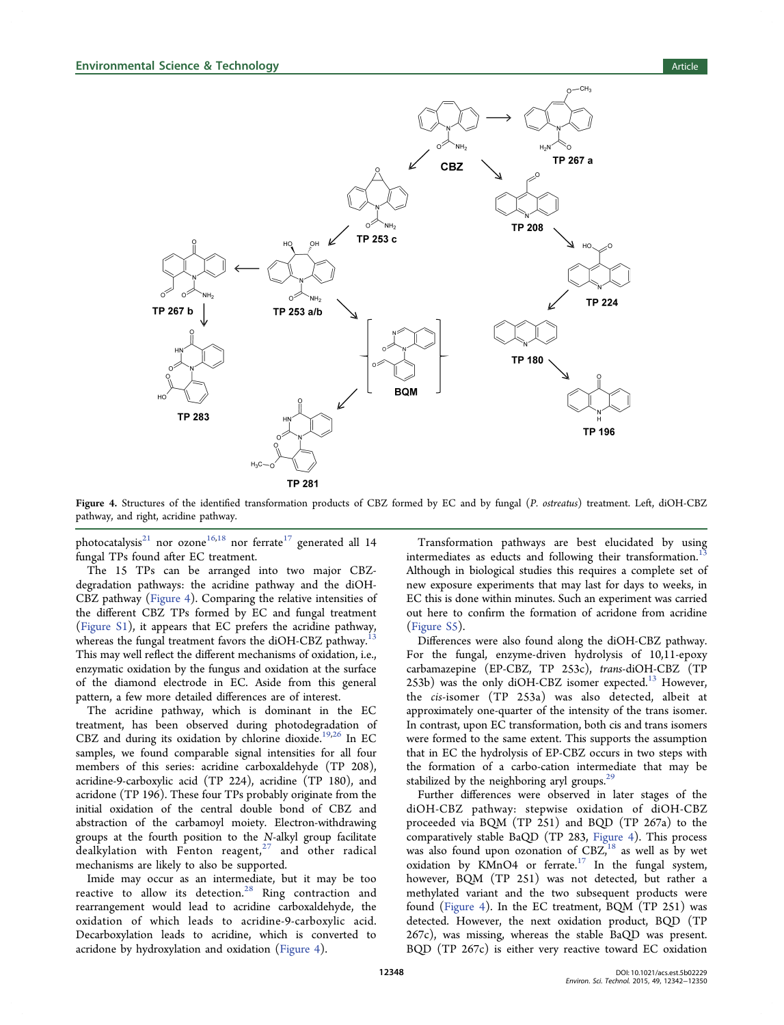<span id="page-6-0"></span>

Figure 4. Structures of the identified transformation products of CBZ formed by EC and by fungal (P. ostreatus) treatment. Left, diOH-CBZ pathway, and right, acridine pathway.

photocatalysis<sup>[21](#page-8-0)</sup> nor ozone<sup>[16,18](#page-7-0)</sup> nor ferrate<sup>[17](#page-7-0)</sup> generated all 14 fungal TPs found after EC treatment.

The 15 TPs can be arranged into two major CBZdegradation pathways: the acridine pathway and the diOH-CBZ pathway (Figure 4). Comparing the relative intensities of the different CBZ TPs formed by EC and fungal treatment [\(Figure S1\)](http://pubs.acs.org/doi/suppl/10.1021/acs.est.5b02229/suppl_file/es5b02229_si_001.pdf), it appears that EC prefers the acridine pathway, whereas the fungal treatment favors the diOH-CBZ pathway. This may well reflect the different mechanisms of oxidation, i.e., enzymatic oxidation by the fungus and oxidation at the surface of the diamond electrode in EC. Aside from this general pattern, a few more detailed differences are of interest.

The acridine pathway, which is dominant in the EC treatment, has been observed during photodegradation of CBZ and during its oxidation by chlorine dioxide.[19](#page-7-0)[,26](#page-8-0) In EC samples, we found comparable signal intensities for all four members of this series: acridine carboxaldehyde (TP 208), acridine-9-carboxylic acid (TP 224), acridine (TP 180), and acridone (TP 196). These four TPs probably originate from the initial oxidation of the central double bond of CBZ and abstraction of the carbamoyl moiety. Electron-withdrawing groups at the fourth position to the N-alkyl group facilitate dealkylation with Fenton reagent, $27$  and other radical mechanisms are likely to also be supported.

Imide may occur as an intermediate, but it may be too reactive to allow its detection. $28$  Ring contraction and rearrangement would lead to acridine carboxaldehyde, the oxidation of which leads to acridine-9-carboxylic acid. Decarboxylation leads to acridine, which is converted to acridone by hydroxylation and oxidation (Figure 4).

Transformation pathways are best elucidated by using intermediates as educts and following their transformation.<sup>[13](#page-7-0)</sup> Although in biological studies this requires a complete set of new exposure experiments that may last for days to weeks, in EC this is done within minutes. Such an experiment was carried out here to confirm the formation of acridone from acridine [\(Figure S5](http://pubs.acs.org/doi/suppl/10.1021/acs.est.5b02229/suppl_file/es5b02229_si_001.pdf)).

Differences were also found along the diOH-CBZ pathway. For the fungal, enzyme-driven hydrolysis of 10,11-epoxy carbamazepine (EP-CBZ, TP 253c), trans-diOH-CBZ (TP 253b) was the only diOH-CBZ isomer expected.<sup>[13](#page-7-0)</sup> However, the cis-isomer (TP 253a) was also detected, albeit at approximately one-quarter of the intensity of the trans isomer. In contrast, upon EC transformation, both cis and trans isomers were formed to the same extent. This supports the assumption that in EC the hydrolysis of EP-CBZ occurs in two steps with the formation of a carbo-cation intermediate that may be stabilized by the neighboring aryl groups.<sup>25</sup>

Further differences were observed in later stages of the diOH-CBZ pathway: stepwise oxidation of diOH-CBZ proceeded via BQM (TP 251) and BQD (TP 267a) to the comparatively stable BaQD (TP 283, Figure 4). This process was also found upon ozonation of  $CBZ<sub>18</sub><sup>18</sup>$  $CBZ<sub>18</sub><sup>18</sup>$  $CBZ<sub>18</sub><sup>18</sup>$  as well as by wet oxidation by KMnO4 or ferrate.<sup>[17](#page-7-0)</sup> In the fungal system, however, BQM (TP 251) was not detected, but rather a methylated variant and the two subsequent products were found (Figure 4). In the EC treatment, BQM (TP 251) was detected. However, the next oxidation product, BQD (TP 267c), was missing, whereas the stable BaQD was present. BQD (TP 267c) is either very reactive toward EC oxidation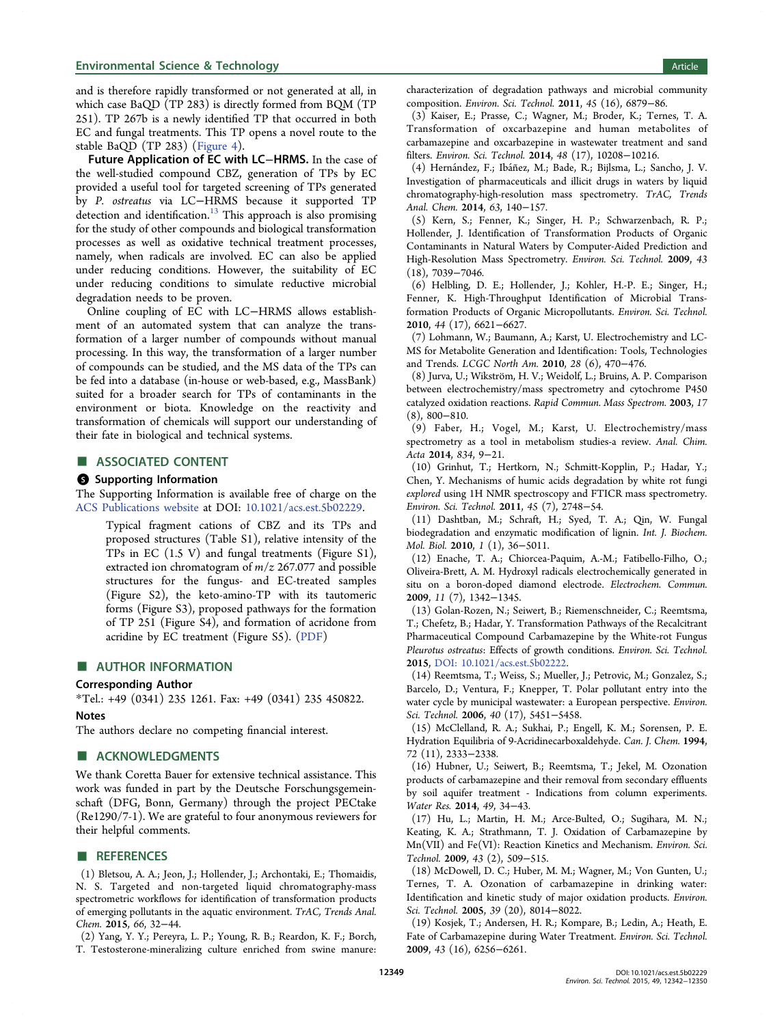## <span id="page-7-0"></span>Environmental Science & Technology **Article Article Article Article Article**

and is therefore rapidly transformed or not generated at all, in which case BaQD (TP 283) is directly formed from BQM (TP 251). TP 267b is a newly identified TP that occurred in both EC and fungal treatments. This TP opens a novel route to the stable BaQD (TP 283) [\(Figure 4](#page-6-0)).

Future Application of EC with LC−HRMS. In the case of the well-studied compound CBZ, generation of TPs by EC provided a useful tool for targeted screening of TPs generated by P. ostreatus via LC−HRMS because it supported TP detection and identification.<sup>13</sup> This approach is also promising for the study of other compounds and biological transformation processes as well as oxidative technical treatment processes, namely, when radicals are involved. EC can also be applied under reducing conditions. However, the suitability of EC under reducing conditions to simulate reductive microbial degradation needs to be proven.

Online coupling of EC with LC−HRMS allows establishment of an automated system that can analyze the transformation of a larger number of compounds without manual processing. In this way, the transformation of a larger number of compounds can be studied, and the MS data of the TPs can be fed into a database (in-house or web-based, e.g., MassBank) suited for a broader search for TPs of contaminants in the environment or biota. Knowledge on the reactivity and transformation of chemicals will support our understanding of their fate in biological and technical systems.

#### ■ ASSOCIATED CONTENT

#### **6** Supporting Information

The Supporting Information is available free of charge on the [ACS Publications website](http://pubs.acs.org) at DOI: [10.1021/acs.est.5b02229](http://pubs.acs.org/doi/abs/10.1021/acs.est.5b02229).

Typical fragment cations of CBZ and its TPs and proposed structures (Table S1), relative intensity of the TPs in EC (1.5 V) and fungal treatments (Figure S1), extracted ion chromatogram of  $m/z$  267.077 and possible structures for the fungus- and EC-treated samples (Figure S2), the keto-amino-TP with its tautomeric forms (Figure S3), proposed pathways for the formation of TP 251 (Figure S4), and formation of acridone from acridine by EC treatment (Figure S5). ([PDF\)](http://pubs.acs.org/doi/suppl/10.1021/acs.est.5b02229/suppl_file/es5b02229_si_001.pdf)

#### ■ AUTHOR INFORMATION

#### Corresponding Author

\*Tel.: +49 (0341) 235 1261. Fax: +49 (0341) 235 450822.

## **Notes**

The authors declare no competing financial interest.

## ■ ACKNOWLEDGMENTS

We thank Coretta Bauer for extensive technical assistance. This work was funded in part by the Deutsche Forschungsgemeinschaft (DFG, Bonn, Germany) through the project PECtake (Re1290/7-1). We are grateful to four anonymous reviewers for their helpful comments.

#### **ENDERGERENCES**

(1) Bletsou, A. A.; Jeon, J.; Hollender, J.; Archontaki, E.; Thomaidis, N. S. Targeted and non-targeted liquid chromatography-mass spectrometric workflows for identification of transformation products of emerging pollutants in the aquatic environment. TrAC, Trends Anal. Chem. 2015, 66, 32−44.

(2) Yang, Y. Y.; Pereyra, L. P.; Young, R. B.; Reardon, K. F.; Borch, T. Testosterone-mineralizing culture enriched from swine manure: characterization of degradation pathways and microbial community composition. Environ. Sci. Technol. 2011, 45 (16), 6879−86.

(3) Kaiser, E.; Prasse, C.; Wagner, M.; Broder, K.; Ternes, T. A. Transformation of oxcarbazepine and human metabolites of carbamazepine and oxcarbazepine in wastewater treatment and sand filters. Environ. Sci. Technol. 2014, 48 (17), 10208−10216.

(4) Hernández, F.; Ibáñez, M.; Bade, R.; Bijlsma, L.; Sancho, J. V. Investigation of pharmaceuticals and illicit drugs in waters by liquid chromatography-high-resolution mass spectrometry. TrAC, Trends Anal. Chem. 2014, 63, 140−157.

(5) Kern, S.; Fenner, K.; Singer, H. P.; Schwarzenbach, R. P.; Hollender, J. Identification of Transformation Products of Organic Contaminants in Natural Waters by Computer-Aided Prediction and High-Resolution Mass Spectrometry. Environ. Sci. Technol. 2009, 43 (18), 7039−7046.

(6) Helbling, D. E.; Hollender, J.; Kohler, H.-P. E.; Singer, H.; Fenner, K. High-Throughput Identification of Microbial Transformation Products of Organic Micropollutants. Environ. Sci. Technol. 2010, 44 (17), 6621−6627.

(7) Lohmann, W.; Baumann, A.; Karst, U. Electrochemistry and LC-MS for Metabolite Generation and Identification: Tools, Technologies and Trends. LCGC North Am. 2010, 28 (6), 470−476.

(8) Jurva, U.; Wikström, H. V.; Weidolf, L.; Bruins, A. P. Comparison between electrochemistry/mass spectrometry and cytochrome P450 catalyzed oxidation reactions. Rapid Commun. Mass Spectrom. 2003, 17 (8), 800−810.

(9) Faber, H.; Vogel, M.; Karst, U. Electrochemistry/mass spectrometry as a tool in metabolism studies-a review. Anal. Chim. Acta 2014, 834, 9−21.

(10) Grinhut, T.; Hertkorn, N.; Schmitt-Kopplin, P.; Hadar, Y.; Chen, Y. Mechanisms of humic acids degradation by white rot fungi explored using 1H NMR spectroscopy and FTICR mass spectrometry. Environ. Sci. Technol. 2011, 45 (7), 2748−54.

(11) Dashtban, M.; Schraft, H.; Syed, T. A.; Qin, W. Fungal biodegradation and enzymatic modification of lignin. Int. J. Biochem. Mol. Biol. 2010, 1 (1), 36−5011.

(12) Enache, T. A.; Chiorcea-Paquim, A.-M.; Fatibello-Filho, O.; Oliveira-Brett, A. M. Hydroxyl radicals electrochemically generated in situ on a boron-doped diamond electrode. Electrochem. Commun. 2009, 11 (7), 1342−1345.

(13) Golan-Rozen, N.; Seiwert, B.; Riemenschneider, C.; Reemtsma, T.; Chefetz, B.; Hadar, Y. Transformation Pathways of the Recalcitrant Pharmaceutical Compound Carbamazepine by the White-rot Fungus Pleurotus ostreatus: Effects of growth conditions. Environ. Sci. Technol. 2015, [DOI: 10.1021/acs.est.5b02222](http://dx.doi.org/10.1021/acs.est.5b02222).

(14) Reemtsma, T.; Weiss, S.; Mueller, J.; Petrovic, M.; Gonzalez, S.; Barcelo, D.; Ventura, F.; Knepper, T. Polar pollutant entry into the water cycle by municipal wastewater: a European perspective. Environ. Sci. Technol. 2006, 40 (17), 5451−5458.

(15) McClelland, R. A.; Sukhai, P.; Engell, K. M.; Sorensen, P. E. Hydration Equilibria of 9-Acridinecarboxaldehyde. Can. J. Chem. 1994, 72 (11), 2333−2338.

(16) Hubner, U.; Seiwert, B.; Reemtsma, T.; Jekel, M. Ozonation products of carbamazepine and their removal from secondary effluents by soil aquifer treatment - Indications from column experiments. Water Res. 2014, 49, 34−43.

(17) Hu, L.; Martin, H. M.; Arce-Bulted, O.; Sugihara, M. N.; Keating, K. A.; Strathmann, T. J. Oxidation of Carbamazepine by Mn(VII) and Fe(VI): Reaction Kinetics and Mechanism. Environ. Sci. Technol. 2009, 43 (2), 509−515.

(18) McDowell, D. C.; Huber, M. M.; Wagner, M.; Von Gunten, U.; Ternes, T. A. Ozonation of carbamazepine in drinking water: Identification and kinetic study of major oxidation products. Environ. Sci. Technol. 2005, 39 (20), 8014−8022.

(19) Kosjek, T.; Andersen, H. R.; Kompare, B.; Ledin, A.; Heath, E. Fate of Carbamazepine during Water Treatment. Environ. Sci. Technol. 2009, 43 (16), 6256−6261.